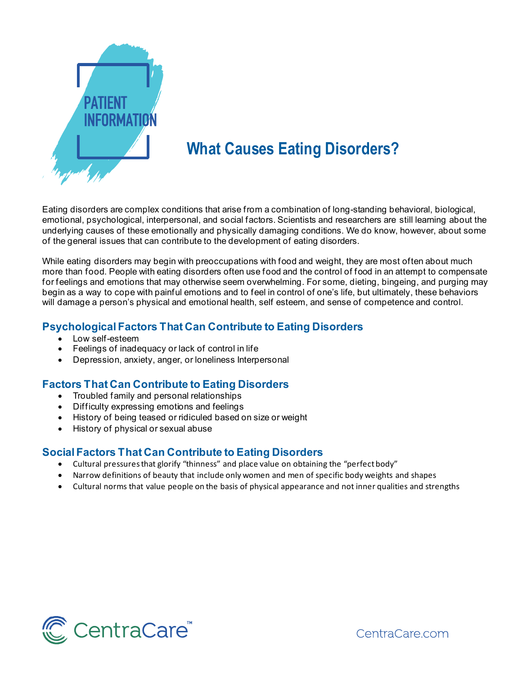

# **What Causes Eating Disorders?**

Eating disorders are complex conditions that arise from a combination of long-standing behavioral, biological, emotional, psychological, interpersonal, and social factors. Scientists and researchers are still learning about the underlying causes of these emotionally and physically damaging conditions. We do know, however, about some of the general issues that can contribute to the development of eating disorders.

While eating disorders may begin with preoccupations with food and weight, they are most often about much more than food. People with eating disorders often use food and the control of food in an attempt to compensate for feelings and emotions that may otherwise seem overwhelming. For some, dieting, bingeing, and purging may begin as a way to cope with painful emotions and to feel in control of one's life, but ultimately, these behaviors will damage a person's physical and emotional health, self esteem, and sense of competence and control.

## **Psychological Factors That Can Contribute to Eating Disorders**

- Low self-esteem
- Feelings of inadequacy or lack of control in life
- Depression, anxiety, anger, or loneliness Interpersonal

### **Factors That Can Contribute to Eating Disorders**

- Troubled family and personal relationships
- Difficulty expressing emotions and feelings
- History of being teased or ridiculed based on size or weight
- History of physical or sexual abuse

### **Social Factors That Can Contribute to Eating Disorders**

- Cultural pressures that glorify "thinness" and place value on obtaining the "perfect body"
- Narrow definitions of beauty that include only women and men of specific body weights and shapes
- Cultural norms that value people on the basis of physical appearance and not inner qualities and strengths



CentraCare.com